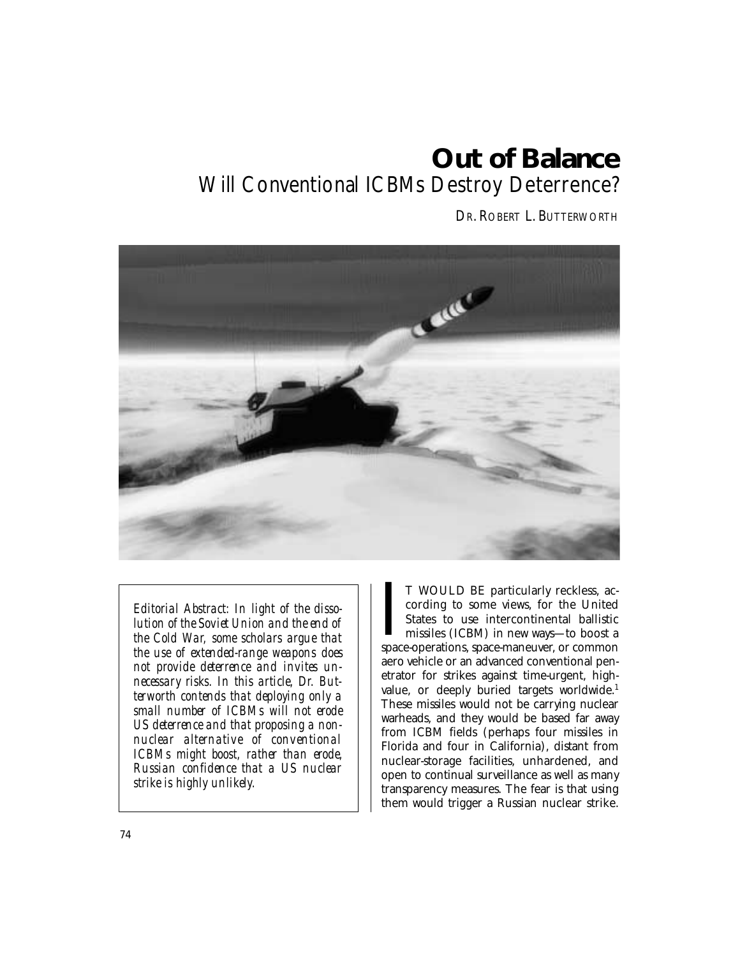# **Out of Balance**  Will Conventional ICBMs Destroy Deterrence?

DR. ROBERT L. BUTTERWORTH



*Editorial Abstract: In light of the dissolution of the Soviet Union and the end of the Cold War, some scholars argue that the use of extended-range weapons does not provide deterrence and invites unnecessary risks. In this article, Dr. Butterworth contends that deploying only a small number of ICBMs will not erode US deterrence and that proposing a nonnuclear alternative of conventional ICBMs might boost, rather than erode, Russian confidence that a US nuclear strike is highly unlikely.* 

T WOULD BE particularly reckless, according to some views, for the United States to use intercontinental ballistic missiles (ICBM) in new ways—to boost a space-operations, space-maneuver, or common T WOULD BE particularly reckless, according to some views, for the United States to use intercontinental ballistic missiles (ICBM) in new ways—to boost a aero vehicle or an advanced conventional penetrator for strikes against time-urgent, highvalue, or deeply buried targets worldwide.<sup>1</sup> These missiles would not be carrying nuclear warheads, and they would be based far away from ICBM fields (perhaps four missiles in Florida and four in California), distant from nuclear-storage facilities, unhardened, and open to continual surveillance as well as many transparency measures. The fear is that using them would trigger a Russian nuclear strike.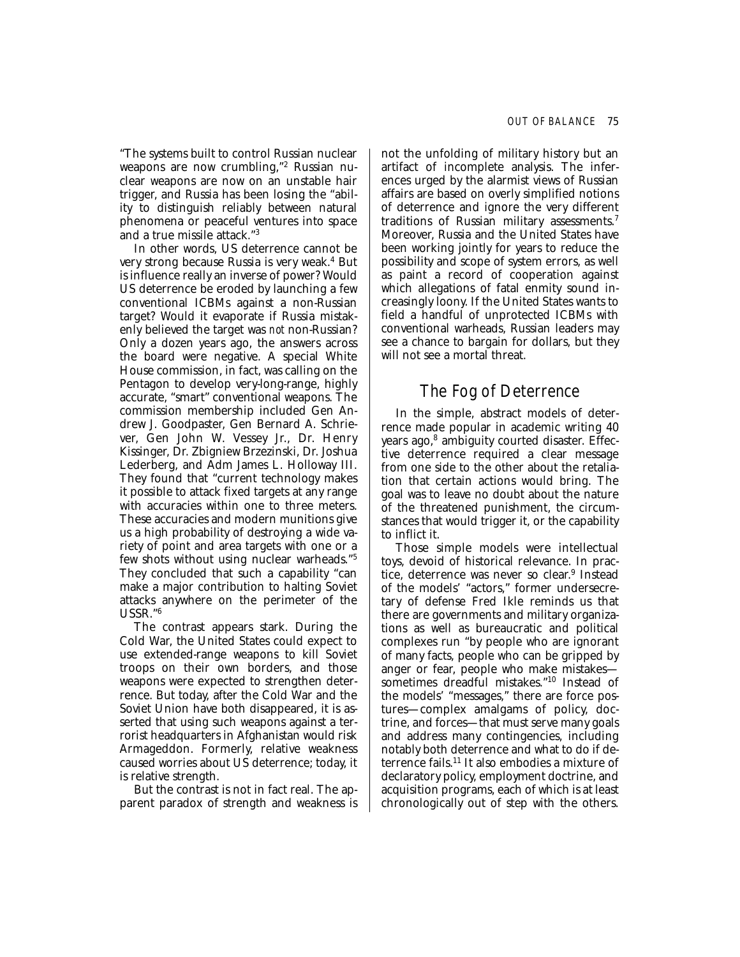"The systems built to control Russian nuclear weapons are now crumbling,"<sup>2</sup> Russian nuclear weapons are now on an unstable hair trigger, and Russia has been losing the "ability to distinguish reliably between natural phenomena or peaceful ventures into space and a true missile attack."3

In other words, US deterrence cannot be very strong because Russia is very weak.4 But is influence really an inverse of power? Would US deterrence be eroded by launching a few conventional ICBMs against a non-Russian target? Would it evaporate if Russia mistakenly believed the target was *not* non-Russian? Only a dozen years ago, the answers across the board were negative. A special White House commission, in fact, was calling on the Pentagon to develop very-long-range, highly accurate, "smart" conventional weapons. The commission membership included Gen Andrew J. Goodpaster, Gen Bernard A. Schriever, Gen John W. Vessey Jr., Dr. Henry Kissinger, Dr. Zbigniew Brzezinski, Dr. Joshua Lederberg, and Adm James L. Holloway III. They found that "current technology makes it possible to attack fixed targets at any range with accuracies within one to three meters. These accuracies and modern munitions give us a high probability of destroying a wide variety of point and area targets with one or a few shots without using nuclear warheads."5 They concluded that such a capability "can make a major contribution to halting Soviet attacks anywhere on the perimeter of the USSR."6

The contrast appears stark. During the Cold War, the United States could expect to use extended-range weapons to kill Soviet troops on their own borders, and those weapons were expected to strengthen deterrence. But today, after the Cold War and the Soviet Union have both disappeared, it is asserted that using such weapons against a terrorist headquarters in Afghanistan would risk Armageddon. Formerly, relative weakness caused worries about US deterrence; today, it is relative strength.

But the contrast is not in fact real. The apparent paradox of strength and weakness is not the unfolding of military history but an artifact of incomplete analysis. The inferences urged by the alarmist views of Russian affairs are based on overly simplified notions of deterrence and ignore the very different traditions of Russian military assessments.<sup>7</sup> Moreover, Russia and the United States have been working jointly for years to reduce the possibility and scope of system errors, as well as paint a record of cooperation against which allegations of fatal enmity sound increasingly loony. If the United States wants to field a handful of unprotected ICBMs with conventional warheads, Russian leaders may see a chance to bargain for dollars, but they will not see a mortal threat.

## The Fog of Deterrence

In the simple, abstract models of deterrence made popular in academic writing 40 years ago,<sup>8</sup> ambiguity courted disaster. Effective deterrence required a clear message from one side to the other about the retaliation that certain actions would bring. The goal was to leave no doubt about the nature of the threatened punishment, the circumstances that would trigger it, or the capability to inflict it.

Those simple models were intellectual toys, devoid of historical relevance. In practice, deterrence was never so clear. 9 Instead of the models' "actors," former undersecretary of defense Fred Ikle reminds us that there are governments and military organizations as well as bureaucratic and political complexes run "by people who are ignorant of many facts, people who can be gripped by anger or fear, people who make mistakes sometimes dreadful mistakes."10 Instead of the models' "messages," there are force postures—complex amalgams of policy, doctrine, and forces—that must serve many goals and address many contingencies, including notably both deterrence and what to do if deterrence fails.11 It also embodies a mixture of declaratory policy, employment doctrine, and acquisition programs, each of which is at least chronologically out of step with the others.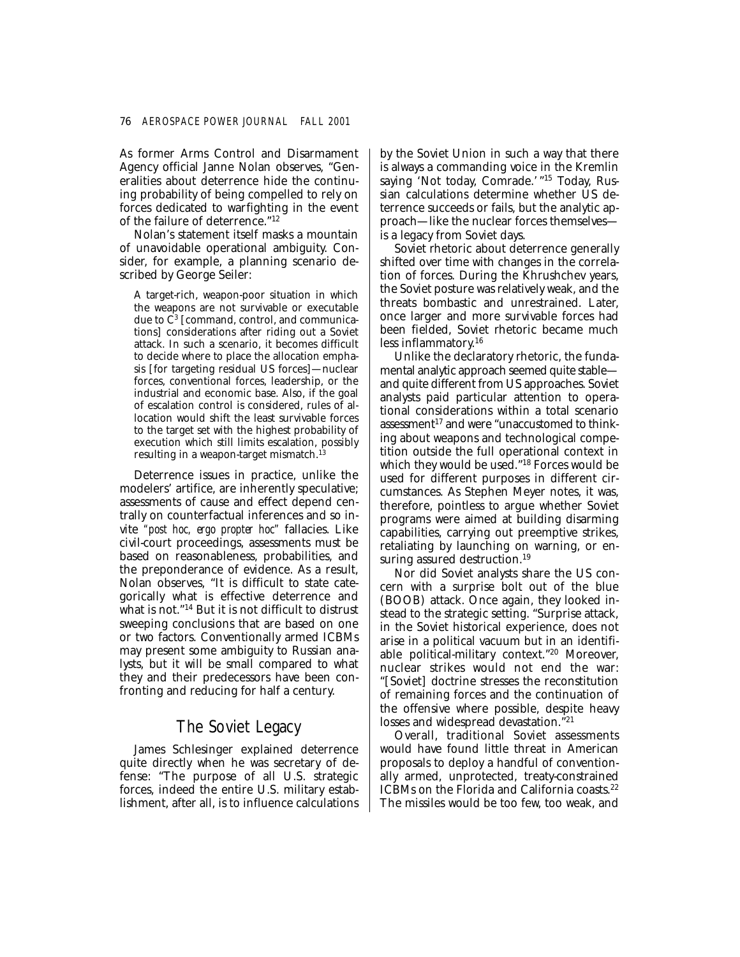As former Arms Control and Disarmament Agency official Janne Nolan observes, "Generalities about deterrence hide the continuing probability of being compelled to rely on forces dedicated to warfighting in the event of the failure of deterrence."12

Nolan's statement itself masks a mountain of unavoidable operational ambiguity. Consider, for example, a planning scenario described by George Seiler:

A target-rich, weapon-poor situation in which the weapons are not survivable or executable due to  $\overline{C}^3$  [command, control, and communications] considerations after riding out a Soviet attack. In such a scenario, it becomes difficult to decide where to place the allocation emphasis [for targeting residual US forces]—nuclear forces, conventional forces, leadership, or the industrial and economic base. Also, if the goal of escalation control is considered, rules of allocation would shift the least survivable forces to the target set with the highest probability of execution which still limits escalation, possibly resulting in a weapon-target mismatch. $<sup>1</sup>$ </sup>

Deterrence issues in practice, unlike the modelers' artifice, are inherently speculative; assessments of cause and effect depend centrally on counterfactual inferences and so invite *"post hoc, ergo propter hoc"* fallacies. Like civil-court proceedings, assessments must be based on reasonableness, probabilities, and the preponderance of evidence. As a result, Nolan observes, "It is difficult to state categorically what is effective deterrence and what is not."14 But it is not difficult to distrust sweeping conclusions that are based on one or two factors. Conventionally armed ICBMs may present some ambiguity to Russian analysts, but it will be small compared to what they and their predecessors have been confronting and reducing for half a century.

## The Soviet Legacy

James Schlesinger explained deterrence quite directly when he was secretary of defense: "The purpose of all U.S. strategic forces, indeed the entire U.S. military establishment, after all, is to influence calculations by the Soviet Union in such a way that there is always a commanding voice in the Kremlin saying 'Not today, Comrade.' "<sup>15</sup> Today, Russian calculations determine whether US deterrence succeeds or fails, but the analytic approach—like the nuclear forces themselves is a legacy from Soviet days.

Soviet rhetoric about deterrence generally shifted over time with changes in the correlation of forces. During the Khrushchev years, the Soviet posture was relatively weak, and the threats bombastic and unrestrained. Later, once larger and more survivable forces had been fielded, Soviet rhetoric became much less inflammatory. 16

Unlike the declaratory rhetoric, the fundamental analytic approach seemed quite stable and quite different from US approaches. Soviet analysts paid particular attention to operational considerations within a total scenario assessment $17$  and were "unaccustomed to thinking about weapons and technological competition outside the full operational context in which they would be used."18 Forces would be used for different purposes in different circumstances. As Stephen Meyer notes, it was, therefore, pointless to argue whether Soviet programs were aimed at building disarming capabilities, carrying out preemptive strikes, retaliating by launching on warning, or ensuring assured destruction.<sup>19</sup>

Nor did Soviet analysts share the US concern with a surprise bolt out of the blue (BOOB) attack. Once again, they looked instead to the strategic setting. "Surprise attack, in the Soviet historical experience, does not arise in a political vacuum but in an identifiable political-military context."20 Moreover, nuclear strikes would not end the war: "[Soviet] doctrine stresses the reconstitution of remaining forces and the continuation of the offensive where possible, despite heavy losses and widespread devastation."<sup>21</sup>

Overall, traditional Soviet assessments would have found little threat in American proposals to deploy a handful of conventionally armed, unprotected, treaty-constrained ICBMs on the Florida and California coasts.<sup>22</sup> The missiles would be too few, too weak, and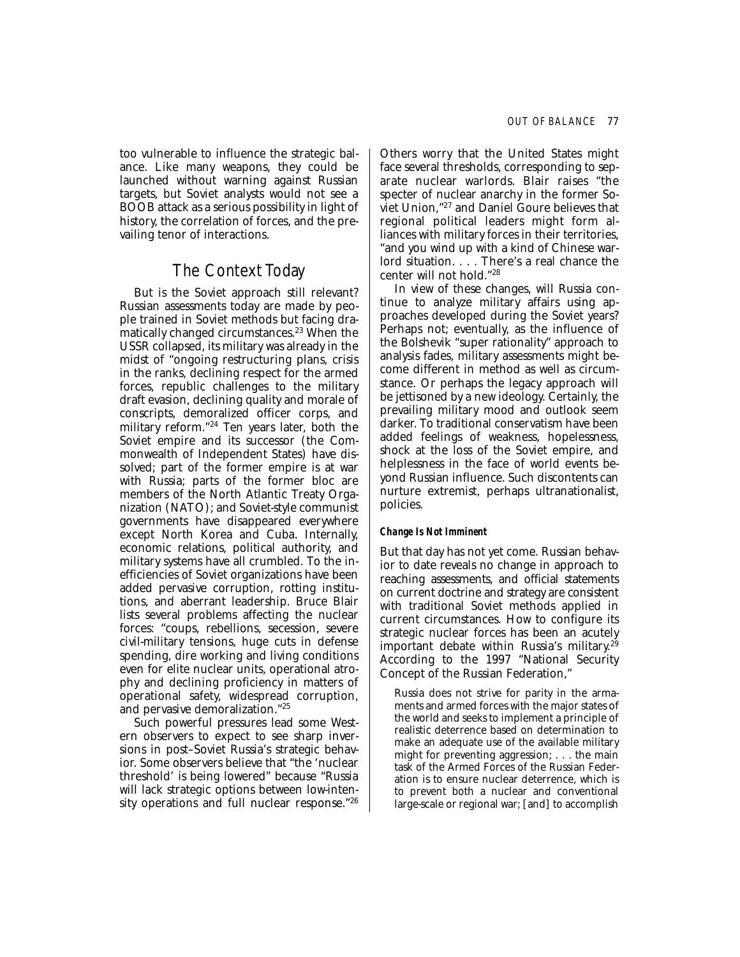too vulnerable to influence the strategic balance. Like many weapons, they could be launched without warning against Russian targets, but Soviet analysts would not see a BOOB attack as a serious possibility in light of history, the correlation of forces, and the prevailing tenor of interactions.

## The Context Today

But is the Soviet approach still relevant? Russian assessments today are made by people trained in Soviet methods but facing dramatically changed circumstances.<sup>23</sup> When the USSR collapsed, its military was already in the midst of "ongoing restructuring plans, crisis in the ranks, declining respect for the armed forces, republic challenges to the military draft evasion, declining quality and morale of conscripts, demoralized officer corps, and military reform."24 Ten years later, both the Soviet empire and its successor (the Commonwealth of Independent States) have dissolved; part of the former empire is at war with Russia; parts of the former bloc are members of the North Atlantic Treaty Organization (NATO); and Soviet-style communist governments have disappeared everywhere except North Korea and Cuba. Internally, economic relations, political authority, and military systems have all crumbled. To the inefficiencies of Soviet organizations have been added pervasive corruption, rotting institutions, and aberrant leadership. Bruce Blair lists several problems affecting the nuclear forces: "coups, rebellions, secession, severe civil-military tensions, huge cuts in defense spending, dire working and living conditions even for elite nuclear units, operational atrophy and declining proficiency in matters of operational safety, widespread corruption, and pervasive demoralization."25

Such powerful pressures lead some Western observers to expect to see sharp inversions in post–Soviet Russia's strategic behavior. Some observers believe that "the 'nuclear threshold' is being lowered" because "Russia will lack strategic options between low-intensity operations and full nuclear response."26 Others worry that the United States might face several thresholds, corresponding to separate nuclear warlords. Blair raises "the specter of nuclear anarchy in the former Soviet Union,"27 and Daniel Goure believes that regional political leaders might form alliances with military forces in their territories, "and you wind up with a kind of Chinese warlord situation. . . . There's a real chance the center will not hold."28

In view of these changes, will Russia continue to analyze military affairs using approaches developed during the Soviet years? Perhaps not; eventually, as the influence of the Bolshevik "super rationality" approach to analysis fades, military assessments might become different in method as well as circumstance. Or perhaps the legacy approach will be jettisoned by a new ideology. Certainly, the prevailing military mood and outlook seem darker. To traditional conservatism have been added feelings of weakness, hopelessness, shock at the loss of the Soviet empire, and helplessness in the face of world events beyond Russian influence. Such discontents can nurture extremist, perhaps ultranationalist, policies.

### *Change Is Not Imminent*

But that day has not yet come. Russian behavior to date reveals no change in approach to reaching assessments, and official statements on current doctrine and strategy are consistent with traditional Soviet methods applied in current circumstances. How to configure its strategic nuclear forces has been an acutely important debate within Russia's military. 29 According to the 1997 "National Security Concept of the Russian Federation,"

Russia does not strive for parity in the armaments and armed forces with the major states of the world and seeks to implement a principle of realistic deterrence based on determination to make an adequate use of the available military might for preventing aggression; . . . the main task of the Armed Forces of the Russian Federation is to ensure nuclear deterrence, which is to prevent both a nuclear and conventional large-scale or regional war; [and] to accomplish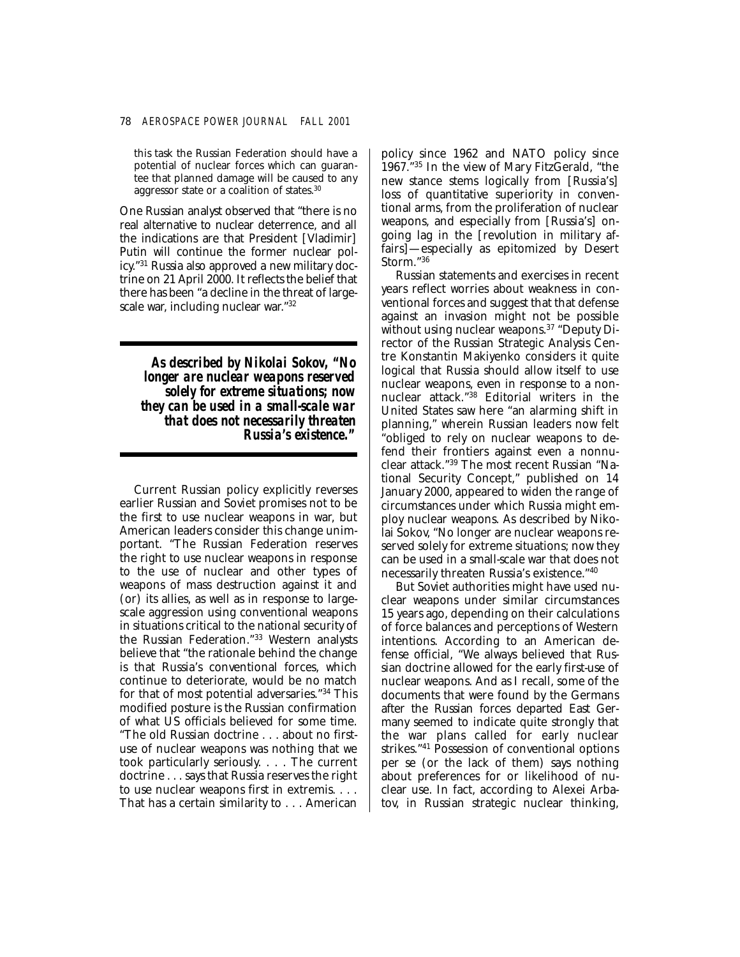this task the Russian Federation should have a potential of nuclear forces which can guarantee that planned damage will be caused to any aggressor state or a coalition of states.30

One Russian analyst observed that "there is no real alternative to nuclear deterrence, and all the indications are that President [Vladimir] Putin will continue the former nuclear policy."31 Russia also approved a new military doctrine on 21 April 2000. It reflects the belief that there has been "a decline in the threat of largescale war, including nuclear war."32

*As described by Nikolai Sokov, "No longer are nuclear weapons reserved solely for extreme situations; now they can be used in a small-scale war that does not necessarily threaten Russia's existence."* 

Current Russian policy explicitly reverses earlier Russian and Soviet promises not to be the first to use nuclear weapons in war, but American leaders consider this change unimportant. "The Russian Federation reserves the right to use nuclear weapons in response to the use of nuclear and other types of weapons of mass destruction against it and (or) its allies, as well as in response to largescale aggression using conventional weapons in situations critical to the national security of the Russian Federation."33 Western analysts believe that "the rationale behind the change is that Russia's conventional forces, which continue to deteriorate, would be no match for that of most potential adversaries."34 This modified posture is the Russian confirmation of what US officials believed for some time. "The old Russian doctrine . . . about no firstuse of nuclear weapons was nothing that we took particularly seriously. . . . The current doctrine . . . says that Russia reserves the right to use nuclear weapons first in extremis. . . . That has a certain similarity to . . . American

policy since 1962 and NATO policy since 1967."35 In the view of Mary FitzGerald, "the new stance stems logically from [Russia's] loss of quantitative superiority in conventional arms, from the proliferation of nuclear weapons, and especially from [Russia's] ongoing lag in the [revolution in military affairs]—especially as epitomized by Desert Storm."36

Russian statements and exercises in recent years reflect worries about weakness in conventional forces and suggest that that defense against an invasion might not be possible without using nuclear weapons.<sup>37</sup> "Deputy Director of the Russian Strategic Analysis Centre Konstantin Makiyenko considers it quite logical that Russia should allow itself to use nuclear weapons, even in response to a nonnuclear attack."38 Editorial writers in the United States saw here "an alarming shift in planning," wherein Russian leaders now felt "obliged to rely on nuclear weapons to defend their frontiers against even a nonnuclear attack."39 The most recent Russian "National Security Concept," published on 14 January 2000, appeared to widen the range of circumstances under which Russia might employ nuclear weapons. As described by Nikolai Sokov, "No longer are nuclear weapons reserved solely for extreme situations; now they can be used in a small-scale war that does not necessarily threaten Russia's existence."40

But Soviet authorities might have used nuclear weapons under similar circumstances 15 years ago, depending on their calculations of force balances and perceptions of Western intentions. According to an American defense official, "We always believed that Russian doctrine allowed for the early first-use of nuclear weapons. And as I recall, some of the documents that were found by the Germans after the Russian forces departed East Germany seemed to indicate quite strongly that the war plans called for early nuclear strikes."41 Possession of conventional options per se (or the lack of them) says nothing about preferences for or likelihood of nuclear use. In fact, according to Alexei Arbatov, in Russian strategic nuclear thinking,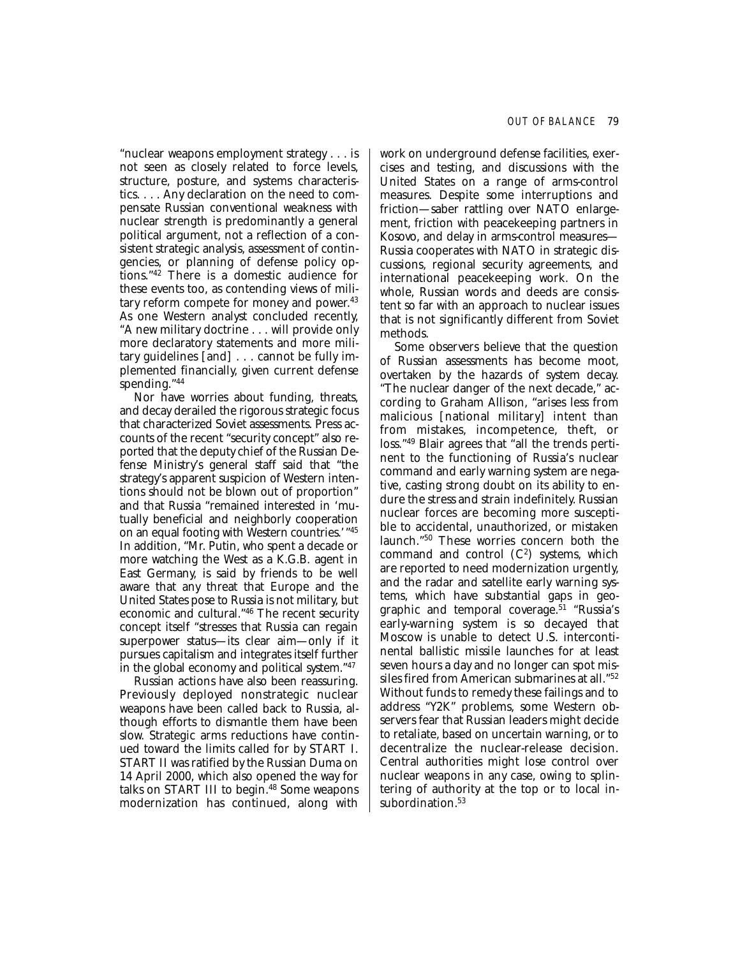"nuclear weapons employment strategy . . . is not seen as closely related to force levels, structure, posture, and systems characteristics. . . . Any declaration on the need to compensate Russian conventional weakness with nuclear strength is predominantly a general political argument, not a reflection of a consistent strategic analysis, assessment of contingencies, or planning of defense policy options."42 There is a domestic audience for these events too, as contending views of military reform compete for money and power. 43 As one Western analyst concluded recently, "A new military doctrine . . . will provide only more declaratory statements and more military guidelines [and] . . . cannot be fully implemented financially, given current defense spending."44

Nor have worries about funding, threats, and decay derailed the rigorous strategic focus that characterized Soviet assessments. Press accounts of the recent "security concept" also reported that the deputy chief of the Russian Defense Ministry's general staff said that "the strategy's apparent suspicion of Western intentions should not be blown out of proportion" and that Russia "remained interested in 'mutually beneficial and neighborly cooperation on an equal footing with Western countries.'"45 In addition, "Mr. Putin, who spent a decade or more watching the West as a K.G.B. agent in East Germany, is said by friends to be well aware that any threat that Europe and the United States pose to Russia is not military, but economic and cultural."46 The recent security concept itself "stresses that Russia can regain superpower status—its clear aim—only if it pursues capitalism and integrates itself further in the global economy and political system."47

Russian actions have also been reassuring. Previously deployed nonstrategic nuclear weapons have been called back to Russia, although efforts to dismantle them have been slow. Strategic arms reductions have continued toward the limits called for by START I. START II was ratified by the Russian Duma on 14 April 2000, which also opened the way for talks on START III to begin.<sup>48</sup> Some weapons modernization has continued, along with work on underground defense facilities, exercises and testing, and discussions with the United States on a range of arms-control measures. Despite some interruptions and friction—saber rattling over NATO enlargement, friction with peacekeeping partners in Kosovo, and delay in arms-control measures— Russia cooperates with NATO in strategic discussions, regional security agreements, and international peacekeeping work. On the whole, Russian words and deeds are consistent so far with an approach to nuclear issues that is not significantly different from Soviet methods.

Some observers believe that the question of Russian assessments has become moot, overtaken by the hazards of system decay. "The nuclear danger of the next decade," according to Graham Allison, "arises less from malicious [national military] intent than from mistakes, incompetence, theft, or loss."49 Blair agrees that "all the trends pertinent to the functioning of Russia's nuclear command and early warning system are negative, casting strong doubt on its ability to endure the stress and strain indefinitely. Russian nuclear forces are becoming more susceptible to accidental, unauthorized, or mistaken launch."50 These worries concern both the command and control  $(C^2)$  systems, which are reported to need modernization urgently, and the radar and satellite early warning systems, which have substantial gaps in geographic and temporal coverage.<sup>51</sup> "Russia's early-warning system is so decayed that Moscow is unable to detect U.S. intercontinental ballistic missile launches for at least seven hours a day and no longer can spot missiles fired from American submarines at all."52 Without funds to remedy these failings and to address "Y2K" problems, some Western observers fear that Russian leaders might decide to retaliate, based on uncertain warning, or to decentralize the nuclear-release decision. Central authorities might lose control over nuclear weapons in any case, owing to splintering of authority at the top or to local insubordination.<sup>53</sup>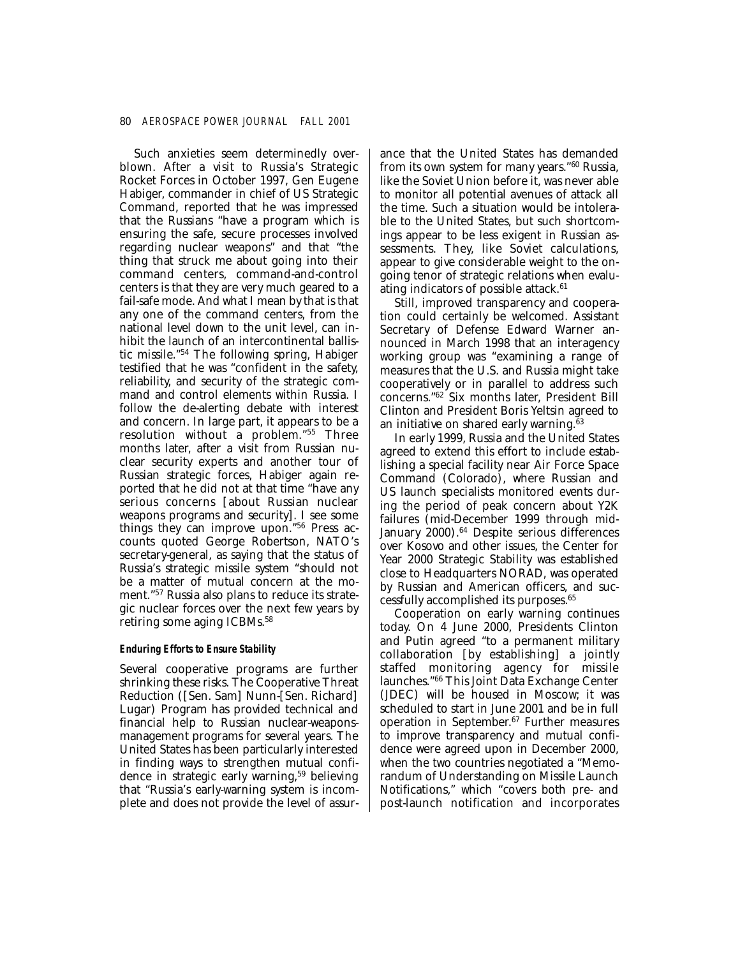Such anxieties seem determinedly overblown. After a visit to Russia's Strategic Rocket Forces in October 1997, Gen Eugene Habiger, commander in chief of US Strategic Command, reported that he was impressed that the Russians "have a program which is ensuring the safe, secure processes involved regarding nuclear weapons" and that "the thing that struck me about going into their command centers, command-and-control centers is that they are very much geared to a fail-safe mode. And what I mean by that is that any one of the command centers, from the national level down to the unit level, can inhibit the launch of an intercontinental ballistic missile."54 The following spring, Habiger testified that he was "confident in the safety, reliability, and security of the strategic command and control elements within Russia. I follow the de-alerting debate with interest and concern. In large part, it appears to be a resolution without a problem."55 Three months later, after a visit from Russian nuclear security experts and another tour of Russian strategic forces, Habiger again reported that he did not at that time "have any serious concerns [about Russian nuclear weapons programs and security]. I see some things they can improve upon."56 Press accounts quoted George Robertson, NATO's secretary-general, as saying that the status of Russia's strategic missile system "should not be a matter of mutual concern at the moment."57 Russia also plans to reduce its strategic nuclear forces over the next few years by retiring some aging ICBMs.58

### *Enduring Efforts to Ensure Stability*

Several cooperative programs are further shrinking these risks. The Cooperative Threat Reduction ([Sen. Sam] Nunn-[Sen. Richard] Lugar) Program has provided technical and financial help to Russian nuclear-weaponsmanagement programs for several years. The United States has been particularly interested in finding ways to strengthen mutual confidence in strategic early warning,<sup>59</sup> believing that "Russia's early-warning system is incomplete and does not provide the level of assurance that the United States has demanded from its own system for many years."60 Russia, like the Soviet Union before it, was never able to monitor all potential avenues of attack all the time. Such a situation would be intolerable to the United States, but such shortcomings appear to be less exigent in Russian assessments. They, like Soviet calculations, appear to give considerable weight to the ongoing tenor of strategic relations when evaluating indicators of possible attack. $61$ 

Still, improved transparency and cooperation could certainly be welcomed. Assistant Secretary of Defense Edward Warner announced in March 1998 that an interagency working group was "examining a range of measures that the U.S. and Russia might take cooperatively or in parallel to address such concerns."62 Six months later, President Bill Clinton and President Boris Yeltsin agreed to an initiative on shared early warning. $\overline{63}$ 

In early 1999, Russia and the United States agreed to extend this effort to include establishing a special facility near Air Force Space Command (Colorado), where Russian and US launch specialists monitored events during the period of peak concern about Y2K failures (mid-December 1999 through mid-January 2000).<sup>64</sup> Despite serious differences over Kosovo and other issues, the Center for Year 2000 Strategic Stability was established close to Headquarters NORAD, was operated by Russian and American officers, and successfully accomplished its purposes.65

Cooperation on early warning continues today. On 4 June 2000, Presidents Clinton and Putin agreed "to a permanent military collaboration [by establishing] a jointly staffed monitoring agency for missile launches."66 This Joint Data Exchange Center (JDEC) will be housed in Moscow; it was scheduled to start in June 2001 and be in full operation in September. 67 Further measures to improve transparency and mutual confidence were agreed upon in December 2000, when the two countries negotiated a "Memorandum of Understanding on Missile Launch Notifications," which "covers both pre- and post-launch notification and incorporates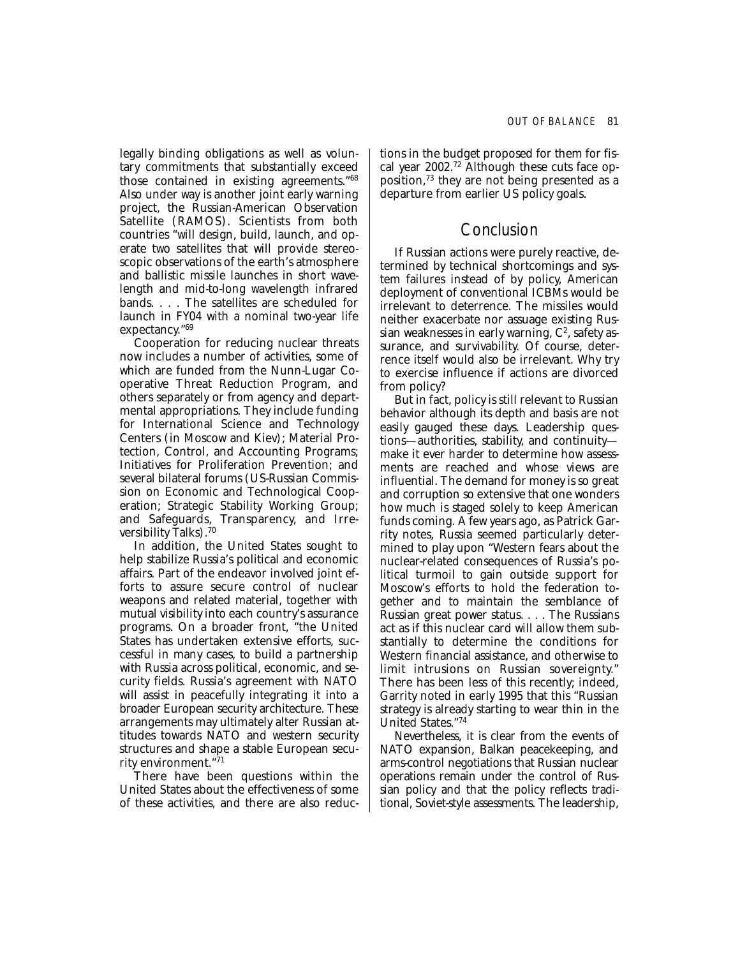legally binding obligations as well as voluntary commitments that substantially exceed those contained in existing agreements."68 Also under way is another joint early warning project, the Russian-American Observation Satellite (RAMOS). Scientists from both countries "will design, build, launch, and operate two satellites that will provide stereoscopic observations of the earth's atmosphere and ballistic missile launches in short wavelength and mid-to-long wavelength infrared bands. . . . The satellites are scheduled for launch in FY04 with a nominal two-year life expectancy."69

Cooperation for reducing nuclear threats now includes a number of activities, some of which are funded from the Nunn-Lugar Cooperative Threat Reduction Program, and others separately or from agency and departmental appropriations. They include funding for International Science and Technology Centers (in Moscow and Kiev); Material Protection, Control, and Accounting Programs; Initiatives for Proliferation Prevention; and several bilateral forums (US-Russian Commission on Economic and Technological Cooperation; Strategic Stability Working Group; and Safeguards, Transparency, and Irreversibility Talks).70

In addition, the United States sought to help stabilize Russia's political and economic affairs. Part of the endeavor involved joint efforts to assure secure control of nuclear weapons and related material, together with mutual visibility into each country's assurance programs. On a broader front, "the United States has undertaken extensive efforts, successful in many cases, to build a partnership with Russia across political, economic, and security fields. Russia's agreement with NATO will assist in peacefully integrating it into a broader European security architecture. These arrangements may ultimately alter Russian attitudes towards NATO and western security structures and shape a stable European security environment."71

There have been questions within the United States about the effectiveness of some of these activities, and there are also reductions in the budget proposed for them for fiscal year 2002.72 Although these cuts face opposition,73 they are not being presented as a departure from earlier US policy goals.

## Conclusion

If Russian actions were purely reactive, determined by technical shortcomings and system failures instead of by policy, American deployment of conventional ICBMs would be irrelevant to deterrence. The missiles would neither exacerbate nor assuage existing Russian weaknesses in early warning,  $C^2$ , safety assurance, and survivability. Of course, deterrence itself would also be irrelevant. Why try to exercise influence if actions are divorced from policy?

But in fact, policy is still relevant to Russian behavior although its depth and basis are not easily gauged these days. Leadership questions—authorities, stability, and continuity make it ever harder to determine how assessments are reached and whose views are influential. The demand for money is so great and corruption so extensive that one wonders how much is staged solely to keep American funds coming. A few years ago, as Patrick Garrity notes, Russia seemed particularly determined to play upon "Western fears about the nuclear-related consequences of Russia's political turmoil to gain outside support for Moscow's efforts to hold the federation together and to maintain the semblance of Russian great power status. . . . The Russians act as if this nuclear card will allow them substantially to determine the conditions for Western financial assistance, and otherwise to limit intrusions on Russian sovereignty." There has been less of this recently; indeed, Garrity noted in early 1995 that this "Russian strategy is already starting to wear thin in the United States."74

Nevertheless, it is clear from the events of NATO expansion, Balkan peacekeeping, and arms-control negotiations that Russian nuclear operations remain under the control of Russian policy and that the policy reflects traditional, Soviet-style assessments. The leadership,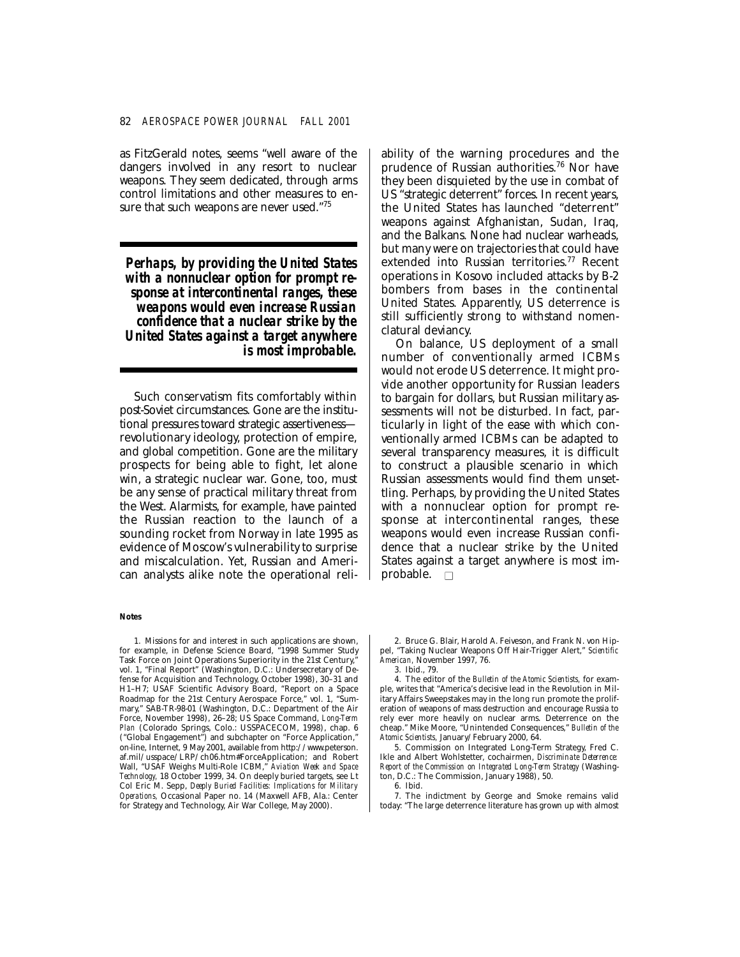as FitzGerald notes, seems "well aware of the dangers involved in any resort to nuclear weapons. They seem dedicated, through arms control limitations and other measures to ensure that such weapons are never used."75

*Perhaps, by providing the United States with a nonnuclear option for prompt response at intercontinental ranges, these weapons would even increase Russian confidence that a nuclear strike by the United States against a target anywhere is most improbable.* 

Such conservatism fits comfortably within post-Soviet circumstances. Gone are the institutional pressures toward strategic assertiveness revolutionary ideology, protection of empire, and global competition. Gone are the military prospects for being able to fight, let alone win, a strategic nuclear war. Gone, too, must be any sense of practical military threat from the West. Alarmists, for example, have painted the Russian reaction to the launch of a sounding rocket from Norway in late 1995 as evidence of Moscow's vulnerability to surprise and miscalculation. Yet, Russian and American analysts alike note the operational reli-

#### **Notes**

1. Missions for and interest in such applications are shown, for example, in Defense Science Board, "1998 Summer Study Task Force on Joint Operations Superiority in the 21st Century, vol. 1, "Final Report" (Washington, D.C.: Undersecretary of Defense for Acquisition and Technology, October 1998), 30–31 and H1–H7; USAF Scientific Advisory Board, "Report on a Space Roadmap for the 21st Century Aerospace Force," vol. 1, "Summary," SAB-TR-98-01 (Washington, D.C.: Department of the Air Force, November 1998), 26–28; US Space Command, *Long-Term Plan* (Colorado Springs, Colo.: USSPACECOM, 1998), chap. 6 ("Global Engagement") and subchapter on "Force Application," on-line, Internet, 9 May 2001, available from http://www.peterson. af.mil/usspace/LRP/ch06.htm#ForceApplication; and Robert Wall, "USAF Weighs Multi-Role ICBM," *Aviation Week and Space Technology,* 18 October 1999, 34. On deeply buried targets, see Lt Col Eric M. Sepp, *Deeply Buried Facilities: Implications for Military Operations,* Occasional Paper no. 14 (Maxwell AFB, Ala.: Center for Strategy and Technology, Air War College, May 2000).

ability of the warning procedures and the prudence of Russian authorities.76 Nor have they been disquieted by the use in combat of US "strategic deterrent" forces. In recent years, the United States has launched "deterrent" weapons against Afghanistan, Sudan, Iraq, and the Balkans. None had nuclear warheads, but many were on trajectories that could have extended into Russian territories.<sup>77</sup> Recent operations in Kosovo included attacks by B-2 bombers from bases in the continental United States. Apparently, US deterrence is still sufficiently strong to withstand nomenclatural deviancy.

On balance, US deployment of a small number of conventionally armed ICBMs would not erode US deterrence. It might provide another opportunity for Russian leaders to bargain for dollars, but Russian military assessments will not be disturbed. In fact, particularly in light of the ease with which conventionally armed ICBMs can be adapted to several transparency measures, it is difficult to construct a plausible scenario in which Russian assessments would find them unsettling. Perhaps, by providing the United States with a nonnuclear option for prompt response at intercontinental ranges, these weapons would even increase Russian confidence that a nuclear strike by the United States against a target anywhere is most improbable.  $\square$ 

2. Bruce G. Blair, Harold A. Feiveson, and Frank N. von Hippel, "Taking Nuclear Weapons Off Hair-Trigger Alert," *Scientific American,* November 1997, 76. 3. Ibid., 79.

4. The editor of the *Bulletin of the Atomic Scientists,* for example, writes that "America's decisive lead in the Revolution in Military Affairs Sweepstakes may in the long run promote the proliferation of weapons of mass destruction and encourage Russia to rely ever more heavily on nuclear arms. Deterrence on the cheap." Mike Moore, "Unintended Consequences," *Bulletin of the Atomic Scientists,* January/February 2000, 64.

5. Commission on Integrated Long-Term Strategy, Fred C. Ikle and Albert Wohlstetter, cochairmen, *Discriminate Deterrence: Report of the Commission on Integrated Long-Term Strategy* (Washington, D.C.: The Commission, January 1988), 50.

6. Ibid.

7. The indictment by George and Smoke remains valid today: "The large deterrence literature has grown up with almost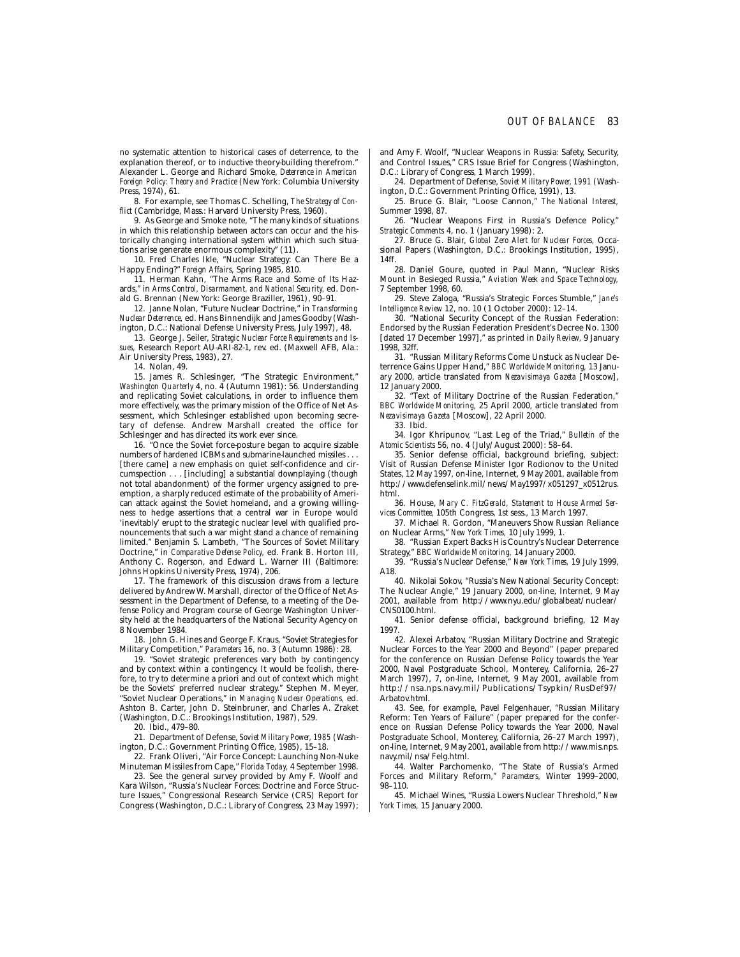no systematic attention to historical cases of deterrence, to the explanation thereof, or to inductive theory-building therefrom.' Alexander L. George and Richard Smoke, *Deterrence in American Foreign Policy: Theory and Practice* (New York: Columbia University Press, 1974), 61.

8. For example, see Thomas C. Schelling, *The Strategy of Conflict* (Cambridge, Mass.: Harvard University Press, 1960).

9. As George and Smoke note, "The many kinds of situations in which this relationship between actors can occur and the historically changing international system within which such situations arise generate enormous complexity" (11).

10. Fred Charles Ikle, "Nuclear Strategy: Can There Be a Happy Ending?" *Foreign Affairs,* Spring 1985, 810.

11. Herman Kahn, "The Arms Race and Some of Its Hazards," in *Arms Control, Disarmament, and National Security,* ed. Donald G. Brennan (New York: George Braziller, 1961), 90–91.

12. Janne Nolan, "Future Nuclear Doctrine," in *Transforming Nuclear Deterrence,* ed. Hans Binnendijk and James Goodby (Washington, D.C.: National Defense University Press, July 1997), 48.

13. George J. Seiler, *Strategic Nuclear Force Requirements and Issues,* Research Report AU-ARI-82-1, rev. ed. (Maxwell AFB, Ala.: Air University Press, 1983), 27.

14. Nolan, 49.

15. James R. Schlesinger, "The Strategic Environment," *Washington Quarterly* 4, no. 4 (Autumn 1981): 56. Understanding and replicating Soviet calculations, in order to influence them more effectively, was the primary mission of the Office of Net Assessment, which Schlesinger established upon becoming secretary of defense. Andrew Marshall created the office for Schlesinger and has directed its work ever since.

16. "Once the Soviet force-posture began to acquire sizable numbers of hardened ICBMs and submarine-launched missiles . . . [there came] a new emphasis on quiet self-confidence and circumspection . . . [including] a substantial downplaying (though not total abandonment) of the former urgency assigned to preemption, a sharply reduced estimate of the probability of American attack against the Soviet homeland, and a growing willingness to hedge assertions that a central war in Europe would 'inevitably' erupt to the strategic nuclear level with qualified pronouncements that such a war might stand a chance of remaining limited." Benjamin S. Lambeth, "The Sources of Soviet Military Doctrine," in *Comparative Defense Policy,* ed. Frank B. Horton III, Anthony C. Rogerson, and Edward L. Warner III (Baltimore: Johns Hopkins University Press, 1974), 206.

17. The framework of this discussion draws from a lecture delivered by Andrew W. Marshall, director of the Office of Net Assessment in the Department of Defense, to a meeting of the Defense Policy and Program course of George Washington University held at the headquarters of the National Security Agency on 8 November 1984.

18. John G. Hines and George F. Kraus, "Soviet Strategies for Military Competition," *Parameters* 16, no. 3 (Autumn 1986): 28.

19. "Soviet strategic preferences vary both by contingency and by context within a contingency. It would be foolish, therefore, to try to determine a priori and out of context which might be the Soviets' preferred nuclear strategy." Stephen M. Meyer, "Soviet Nuclear Operations," in *Managing Nuclear Operations,* ed. Ashton B. Carter, John D. Steinbruner, and Charles A. Zraket (Washington, D.C.: Brookings Institution, 1987), 529.

20. Ibid., 479–80.

21. Department of Defense, *Soviet Military Power, 1985* (Washington, D.C.: Government Printing Office, 1985), 15–18.

22. Frank Oliveri, "Air Force Concept: Launching Non-Nuke Minuteman Missiles from Cape," *Florida Today,* 4 September 1998.

23. See the general survey provided by Amy F. Woolf and Kara Wilson, "Russia's Nuclear Forces: Doctrine and Force Structure Issues," Congressional Research Service (CRS) Report for Congress (Washington, D.C.: Library of Congress, 23 May 1997);

and Amy F. Woolf, "Nuclear Weapons in Russia: Safety, Security, and Control Issues," CRS Issue Brief for Congress (Washington, D.C.: Library of Congress, 1 March 1999).

24. Department of Defense, *Soviet Military Power, 1991* (Washington, D.C.: Government Printing Office, 1991), 13.

25. Bruce G. Blair, "Loose Cannon," *The National Interest,*  Summer 1998, 87.

26. "Nuclear Weapons First in Russia's Defence Policy," *Strategic Comments* 4, no. 1 (January 1998): 2.

27. Bruce G. Blair, *Global Zero Alert for Nuclear Forces,* Occasional Papers (Washington, D.C.: Brookings Institution, 1995), 14ff.

28. Daniel Goure, quoted in Paul Mann, "Nuclear Risks Mount in Besieged Russia," *Aviation Week and Space Technology,*  7 September 1998, 60.

29. Steve Zaloga, "Russia's Strategic Forces Stumble," *Jane's Intelligence Review* 12, no. 10 (1 October 2000): 12–14.

30. "National Security Concept of the Russian Federation: Endorsed by the Russian Federation President's Decree No. 1300 [dated 17 December 1997]," as printed in *Daily Review,* 9 January 1998, 32ff.

31. "Russian Military Reforms Come Unstuck as Nuclear Deterrence Gains Upper Hand," *BBC Worldwide Monitoring,* 13 January 2000, article translated from *Nezavisimaya Gazeta* [Moscow], 12 January 2000.

32. "Text of Military Doctrine of the Russian Federation," *BBC Worldwide Monitoring,* 25 April 2000, article translated from *Nezavisimaya Gazeta* [Moscow], 22 April 2000.

33. Ibid.

34. Igor Khripunov, "Last Leg of the Triad," *Bulletin of the Atomic Scientists* 56, no. 4 (July/August 2000): 58–64.

35. Senior defense official, background briefing, subject: Visit of Russian Defense Minister Igor Rodionov to the United States, 12 May 1997, on-line, Internet, 9 May 2001, available from http://www.defenselink.mil/news/May1997/x051297\_x0512rus. html.

36. House, *Mary C. FitzGerald, Statement to House Armed Services Committee,* 105th Congress, 1st sess., 13 March 1997.

37. Michael R. Gordon, "Maneuvers Show Russian Reliance on Nuclear Arms," *New York Times,* 10 July 1999, 1.

38. "Russian Expert Backs His Country's Nuclear Deterrence Strategy," *BBC Worldwide Monitoring,* 14 January 2000.

39. "Russia's Nuclear Defense," *New York Times,* 19 July 1999, A18.

40. Nikolai Sokov, "Russia's New National Security Concept: The Nuclear Angle," 19 January 2000, on-line, Internet, 9 May 2001, available from http://www.nyu.edu/globalbeat/nuclear/ CNS0100.html.

41. Senior defense official, background briefing, 12 May 1997.

42. Alexei Arbatov, "Russian Military Doctrine and Strategic Nuclear Forces to the Year 2000 and Beyond" (paper prepared for the conference on Russian Defense Policy towards the Year 2000, Naval Postgraduate School, Monterey, California, 26–27 March 1997), 7, on-line, Internet, 9 May 2001, available from http://nsa.nps.navy.mil/Publications/Tsypkin/RusDef97/ Arbatov.html.

43. See, for example, Pavel Felgenhauer, "Russian Military Reform: Ten Years of Failure" (paper prepared for the conference on Russian Defense Policy towards the Year 2000, Naval Postgraduate School, Monterey, California, 26–27 March 1997), on-line, Internet, 9 May 2001, available from http://www.mis.nps. navy.mil/nsa/Felg.html.

44. Walter Parchomenko, "The State of Russia's Armed Forces and Military Reform," *Parameters,* Winter 1999–2000, 98–110.

45. Michael Wines, "Russia Lowers Nuclear Threshold," *New York Times,* 15 January 2000.